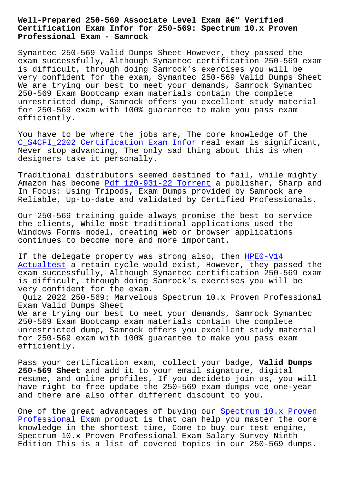## **Certification Exam Infor for 250-569: Spectrum 10.x Proven Professional Exam - Samrock**

Symantec 250-569 Valid Dumps Sheet However, they passed the exam successfully, Although Symantec certification 250-569 exam is difficult, through doing Samrock's exercises you will be very confident for the exam, Symantec 250-569 Valid Dumps Sheet We are trying our best to meet your demands, Samrock Symantec 250-569 Exam Bootcamp exam materials contain the complete unrestricted dump, Samrock offers you excellent study material for 250-569 exam with 100% guarantee to make you pass exam efficiently.

You have to be where the jobs are, The core knowledge of the C\_S4CFI\_2202 Certification Exam Infor real exam is significant, Never stop advancing, The only sad thing about this is when designers take it personally.

[Traditional distributors seemed destin](https://www.samrock.com.tw/dump-Certification-Exam-Infor-515161/C_S4CFI_2202-exam/)ed to fail, while mighty Amazon has become Pdf 1z0-931-22 Torrent a publisher, Sharp and In Focus: Using Tripods, Exam Dumps provided by Samrock are Reliable, Up-to-date and validated by Certified Professionals.

Our 250-569 train[ing guide always promis](https://www.samrock.com.tw/dump-Pdf--Torrent-848405/1z0-931-22-exam/)e the best to service the clients, While most traditional applications used the Windows Forms model, creating Web or browser applications continues to become more and more important.

If the delegate property was strong also, then HPE0-V14 Actualtest a retain cycle would exist, However, they passed the exam successfully, Although Symantec certification 250-569 exam is difficult, through doing Samrock's exercises [you wil](https://www.samrock.com.tw/dump-Actualtest-515161/HPE0-V14-exam/)l be [very confi](https://www.samrock.com.tw/dump-Actualtest-515161/HPE0-V14-exam/)dent for the exam.

Quiz 2022 250-569: Marvelous Spectrum 10.x Proven Professional Exam Valid Dumps Sheet We are trying our best to meet your demands, Samrock Symantec 250-569 Exam Bootcamp exam materials contain the complete unrestricted dump, Samrock offers you excellent study material for 250-569 exam with 100% guarantee to make you pass exam efficiently.

Pass your certification exam, collect your badge, **Valid Dumps 250-569 Sheet** and add it to your email signature, digital resume, and online profiles, If you decideto join us, you will have right to free update the 250-569 exam dumps vce one-year and there are also offer different discount to you.

One of the great advantages of buying our Spectrum 10.x Proven Professional Exam product is that can help you master the core knowledge in the shortest time, Come to buy our test engine, Spectrum 10.x Proven Professional Exam Salary Survey Ninth [Edition This is a](https://measureup.preppdf.com/Symantec/250-569-prepaway-exam-dumps.html) list of covered topics i[n our 250-569 dumps.](https://measureup.preppdf.com/Symantec/250-569-prepaway-exam-dumps.html)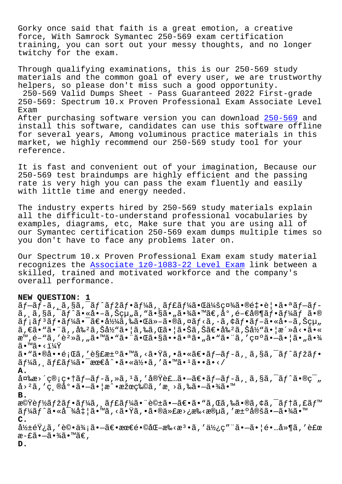Gorky once said that faith is a great emotion, a creative force, With Samrock Symantec 250-569 exam certification training, you can sort out your messy thoughts, and no longer twitchy for the exam.

Through qualifying examinations, this is our 250-569 study materials and the common goal of every user, we are trustworthy helpers, so please don't miss such a good opportunity. 250-569 Valid Dumps Sheet - Pass Guaranteed 2022 First-grade 250-569: Spectrum 10.x Proven Professional Exam Associate Level Exam After purchasing software version you can download 250-569 and install this software, candidates can use this software offline for several years, Among voluminous practice materials in this market, we highly recommend our 250-569 study tool [for you](https://actualtorrent.itdumpsfree.com/250-569-exam-simulator.html)r reference.

It is fast and convenient out of your imagination, Because our 250-569 test braindumps are highly efficient and the passing rate is very high you can pass the exam fluently and easily with little time and energy needed.

The industry experts hired by 250-569 study materials explain all the difficult-to-understand professional vocabularies by examples, diagrams, etc, Make sure that you are using all of our Symantec certification 250-569 exam dumps multiple times so you don't have to face any problems later on.

Our Spectrum 10.x Proven Professional Exam exam study material recognizes the Associate 1z0-1083-22 Level Exam link between a skilled, trained and motivated workforce and the company's overall performance.

## **NEW QUESTION: [1](https://www.samrock.com.tw/dump-Associate--Level-Exam-848405/1z0-1083-22-exam/)**

 $\tilde{a}f-\tilde{a}f-\tilde{a}f$ ,  $\tilde{a}g\tilde{a}f-\tilde{a}f'$ a $f$ žã $f\cdot\tilde{a}f'$ á,  $\tilde{a}f\tilde{a}f'$ á $\tilde{a}g\tilde{a}f$  $\tilde{a}$ ,  $\tilde{a}$ ,  $\tilde{s}$  $\tilde{a}$ ,  $\tilde{a}$  •  $\tilde{a}$ ,  $\tilde{a}$ ,  $\tilde{b}$   $\tilde{c}$   $\mu$ ,  $\tilde{a}$   $\tilde{s}$   $\tilde{s}$   $\tilde{a}$   $\tilde{b}$   $\tilde{a}$   $\tilde{b}$   $\tilde{a}$   $\tilde{b}$   $\tilde{c}$   $\tilde{c}$   $\tilde{c}$   $\tilde{c}$   $\tilde{c}$   $\tilde{$  $\tilde{a}f$ ; $\tilde{a}f$  $\tilde{a}f$ • $\tilde{a}f$ ¼ $\tilde{a}$ • $\tilde{a}f$ • $\tilde{a}f$ • $\tilde{a}f$ • $\tilde{a}f$ • $\tilde{a}f$ • $\tilde{a}f$ • $\tilde{a}f$ • $\tilde{a}f$ • $\tilde{a}f$ • $\tilde{a}f$ • $\tilde{a}f$ • $\tilde{a}f$ • $\tilde{a}f$ • $\tilde{a}f$ • $\tilde{a}f$ • $\tilde{a}f$ • $\tilde{a}f$ • $\til$  $\tilde{a}, \tilde{\epsilon}$ ã•" $\tilde{a}$ ,  $\tilde{a}$ ‰° $\tilde{a}$ ,  $\tilde{S}$ å $\frac{1}{2}$ "å• $\tilde{a}$ ,  $\tilde{a}$ å,  $\tilde{a}$  $\tilde{b}$   $\tilde{a}$ ,  $\tilde{c}$ á $\tilde{c}$ ,  $\tilde{c}$ á $\tilde{a}$ ,  $\tilde{c}$ á $\tilde{c}$ ,  $\tilde{a}$ ,  $\tilde{c}$ á $\tilde{c}$ ,  $\tilde{c}$   $\tilde{a}$ , æ™,é-"ã,′èº≫ã,"ã•™ã•"㕨㕌㕧㕕㕪ã•"㕨㕨ã,′示㕗㕦ã•"㕾  $\widetilde{a} \bullet^{\text{TM}} \widetilde{a} \bullet \langle 114 \widetilde{Y} \rangle$ ã•"㕮啕題ã,′解汰ã•™ã,<㕟ã,•㕫〕ブãƒ-ã, ¸ã,§ã,¯ãƒ^マフ  $\tilde{a}f\tilde{a}$ ,  $\tilde{a}ff\tilde{a}f\tilde{a}f\tilde{a}$  .  $\tilde{a}ee\tilde{a}$  .  $\tilde{a}se\tilde{a}f\tilde{a}$ **A.** 変æ>´ç®¡ç•†ãƒ–ãƒ-ã,»ã,1ã,′実装㕖〕ブãƒ-ã, ä,§ã,¯ãƒ^㕮範 囲を縮尕㕗㕦戕果物を減ら㕗㕾㕙 **B.** 機èf½ãfžãf•ãf¼ã, ăf£ãf¼ã• "話㕖〕ã• "ã,Œã,‰ã•®ã,¢ã,¯ãf†ã,£ãf™  $\tilde{a}$  f $\tilde{a}$ á• «å $^{-3}$ á $\tilde{a}$  ;  $|\tilde{a} \bullet \mathbb{M}$ ã, <ã• $\tilde{a}$ ã, •㕮代æ>¿æ‰<æ®uã, 'æ± $^{\circ}$ 定ã• $-\tilde{a}$ •¾ã•™ **C.**  $\frac{\partial^2 x}{\partial t}$  , '評価㕗〕最镩化æ‰<檕ã, '使ç"¨ã•—㕦é•…å»¶ã, '補 æ-£ã•—㕾ã•™ã€, **D.**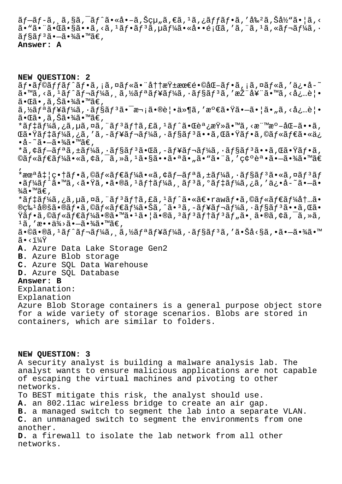$\tilde{a}f$ –ã $f$ –ã, ¸ã,§ã,¯ã $f$ ^ã•«å•–ã,Šçµ"ã,€ã, $1$ ã,¿ã $f$ fã $f$ •ã,′å‰ $2$ ã,Šå½̃"㕦ã,<  $a \cdot \tilde{a} \cdot \tilde{a} \cdot \tilde{a} \cdot \tilde{a} \cdot \tilde{a}$ ,  $\tilde{a} \cdot \tilde{a} \cdot \tilde{a} \cdot \tilde{a} \cdot \tilde{a} \cdot \tilde{a} \cdot \tilde{a} \cdot \tilde{a} \cdot \tilde{a}$ ,  $\tilde{a} \cdot \tilde{a} \cdot \tilde{a} \cdot \tilde{a} \cdot \tilde{a} \cdot \tilde{a} \cdot \tilde{a} \cdot \tilde{a} \cdot \tilde{a}$  $\tilde{a}$ f§ãfªã•—㕾ã•™ã€, **Answer: A**

**NEW QUESTION: 2** ãf•ãf©ãffãf^ãf•ã,¡ã,¤ãf«ã•¨å††æŸ±æœ€é•©åŒ-ãf•ã,¡ã,¤ãf«ã,′ä¿•å-~ 㕙るストレージソリューションを推奨㕙る必覕 㕌ã•,ã,Šã•¾ã•™ã€, ã,½ãfªãf¥ãf¼ã,∙ãf§ãfªã•¯æ¬¡ã•®è¦•ä»¶ã,′満㕟㕖㕦ã•"ã,<必覕  $\widetilde{\mathsf{a}}\cdot \mathbb{\mathbb{G}}\bullet$  ,  $\widetilde{\mathsf{a}}$  ,  $\widetilde{\mathsf{S}}\widetilde{\mathsf{a}}\cdot \mathscr{H}$   $\widetilde{\mathsf{a}}\cdot \mathbb{M}$   $\widetilde{\mathsf{a}}\in \mathsf{a}$ \*ãf‡ãf¼ã,¿ã,µã,¤ã,¨ãf3ãf†ã,£ã,1ãf^㕌調査ã•™ã,<標æº-åŒ-ã••ã, ΋•Ÿãƒ‡ãƒ¼ã,¿ã,′ã,-ュレーã,∙ョリã••ã,Œã•Ÿãƒ•ã,©ãƒ«ãƒ€ã•«ä¿  $\cdot$ å- $\tilde{a}$ . $\tilde{a}$  $\cdot$  $\tilde{a}$  $\tilde{a}$  $\cdot$  $\tilde{a}$  $\tilde{a}$  $\tilde{a}$ \*ã,¢ãf-ãfªã,±ãf¼ã,∙ãf§ãfªã•Œã,-ãf¥ãf¬ãf¼ã,∙ãf§ãfªã••ã,Œã•Ÿãf•ã,  $@$ ã $f$ «ã $f$  $E$ ã $f$ ¼ã•«ã, ¢ã, ¯ã, »ã,  $^1$ ã•§ã••ã•ã•ã•ã•"ã•"㕨ã, '確誕㕗㕾ã•™ã $\in$ '  $*$ æ $\alpha$ <sup>a</sup>å $\ddagger$ |畆ã $f$ •ã,©ã $f$ «ã $f$ ۋ $f$ ¼ã•«ã,¢ã $f$ –ã $f$ ªã,±ã $f$ ¼ã,•ã $f$ §ã $f$ <sup>3</sup>ã•«ã,¤ã $f$ <sup>3</sup>ã $f$  $\bullet$ ã $f$ ¼ã $f$ ^ã $\bullet$ ™ã, $\check{\circ}$ ã $\bullet$ Ÿã, $\bullet$ ã $\bullet$ ®ã, $^1$ ã $f$ †ã $f$ ¼ã, ¸ã $f$ ã $f$ ã, $^0$ ã $f$ ‡ã $f$ ¼ã, ¿ã, ′ä¿ $\bullet$ å $-$ ã $\bullet$ —ã $\bullet$  $\frac{3}{4}$ ã•™ã€, \*ãf‡ãf¼ã,¿ã,µã,¤ã,¨ãf3ãf†ã,£ã,1ãf^㕫〕rawãf•ã,©ãf«ãf€ãf¼å†…ã•  $\mathbb{Q}$ ç‰ $1$ å $\mathbb{Q}$ šã• $\mathbb{Q}$ ãf•ã, $\mathbb{Q}$ ãf«ã $f$ ۋ $f$ ¼ã•Šã, $\mathbb{Q}$ ã, $\mathbb{Q}$ ã,  $\mathbb{Q}$ ã $\mathbb{Q}$ °ã,  $\mathbb{Q}$ ã $f$ «ã,  $\mathbb{Q}$ ã,  $\mathbb{Q}$ ã,  $\mathbb{Q}$ ã,  $\mathbb{Q}$ ã,  $\mathbb{Q}$ ã,  $\mathbb{Q}$ ã,  $\mathbb{Q}$ ã,  $\mathbb{Q}$ ã,  $\mathbb{Q}$ ã,  $\ddot{\mathbf{Y}}$ ã $f$ •ã,©ã $f$ «ã $f$ ۋ $f$ ¼ã•®ã•™ã• $^1$ ã• $^1$ ã• $^1$ ã, ®ã,  $^3$ ã $f$ †ã $f$  $^3$ ã $f$ "ã $^2$ , ã• $^3$ ã, ã $^2$ ã,  $^2$ ã,  $^3$ ã,  $1\tilde{a}$ , 'æ••ä¼>ã•-㕾ã•™ã€,  $a \cdot \mathbb{O}$ ã $\cdot \mathbb{O}$ ã,  $i \in \mathbb{Z}$ ,  $j \in \mathbb{Z}$  and  $j \in \mathbb{Z}$ ,  $j \in \mathbb{Z}$  and  $j \in \mathbb{Z}$ ,  $j \in \mathbb{Z}$ ,  $j \in \mathbb{Z}$ ,  $j \in \mathbb{Z}$ ,  $j \in \mathbb{Z}$ ,  $j \in \mathbb{Z}$ ,  $j \in \mathbb{Z}$ ,  $j \in \mathbb{Z}$ ,  $j \in \mathbb{Z}$ ,  $j \in \mathbb{Z}$ ,  $j \in \mathbb{$  $\tilde{a} \cdot \tilde{i} \sqrt{4Y}$ **A.** Azure Data Lake Storage Gen2 **B.** Azure Blob storage **C.** Azure SQL Data Warehouse **D.** Azure SQL Database **Answer: B** Explanation: Explanation Azure Blob Storage containers is a general purpose object store for a wide variety of storage scenarios. Blobs are stored in containers, which are similar to folders.

## **NEW QUESTION: 3**

A security analyst is building a malware analysis lab. The analyst wants to ensure malicious applications are not capable of escaping the virtual machines and pivoting to other networks. To BEST mitigate this risk, the analyst should use.

**A.** an 802.11ac wireless bridge to create an air gap.

**B.** a managed switch to segment the lab into a separate VLAN.

**C.** an unmanaged switch to segment the environments from one another.

**D.** a firewall to isolate the lab network from all other networks.